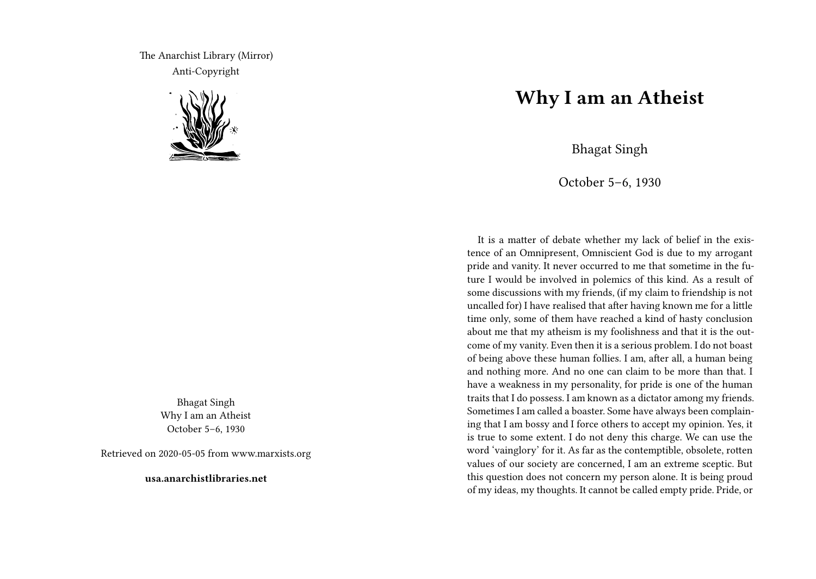The Anarchist Library (Mirror) Anti-Copyright



Bhagat Singh Why I am an Atheist October 5–6, 1930

Retrieved on 2020-05-05 from www.marxists.org

**usa.anarchistlibraries.net**

## **Why I am an Atheist**

Bhagat Singh

October 5–6, 1930

It is a matter of debate whether my lack of belief in the existence of an Omnipresent, Omniscient God is due to my arrogant pride and vanity. It never occurred to me that sometime in the future I would be involved in polemics of this kind. As a result of some discussions with my friends, (if my claim to friendship is not uncalled for) I have realised that after having known me for a little time only, some of them have reached a kind of hasty conclusion about me that my atheism is my foolishness and that it is the outcome of my vanity. Even then it is a serious problem. I do not boast of being above these human follies. I am, after all, a human being and nothing more. And no one can claim to be more than that. I have a weakness in my personality, for pride is one of the human traits that I do possess. I am known as a dictator among my friends. Sometimes I am called a boaster. Some have always been complaining that I am bossy and I force others to accept my opinion. Yes, it is true to some extent. I do not deny this charge. We can use the word 'vainglory' for it. As far as the contemptible, obsolete, rotten values of our society are concerned, I am an extreme sceptic. But this question does not concern my person alone. It is being proud of my ideas, my thoughts. It cannot be called empty pride. Pride, or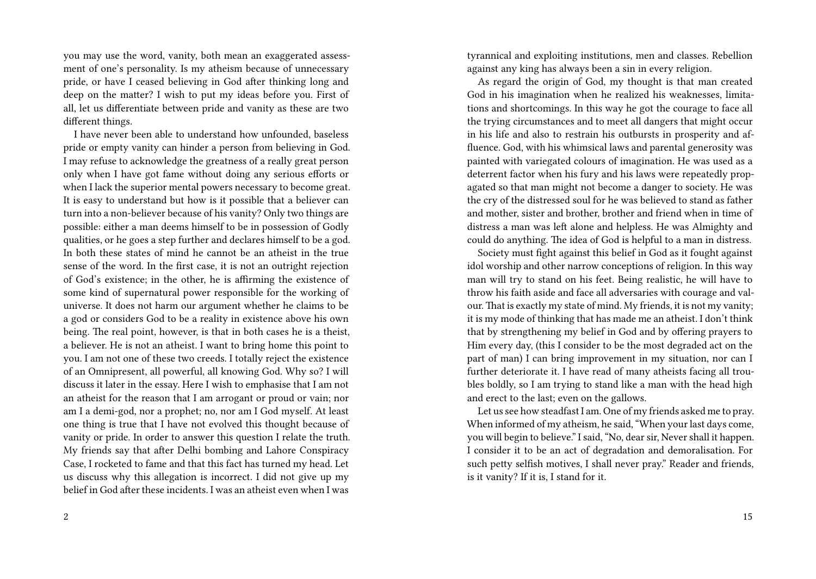you may use the word, vanity, both mean an exaggerated assessment of one's personality. Is my atheism because of unnecessary pride, or have I ceased believing in God after thinking long and deep on the matter? I wish to put my ideas before you. First of all, let us differentiate between pride and vanity as these are two different things.

I have never been able to understand how unfounded, baseless pride or empty vanity can hinder a person from believing in God. I may refuse to acknowledge the greatness of a really great person only when I have got fame without doing any serious efforts or when I lack the superior mental powers necessary to become great. It is easy to understand but how is it possible that a believer can turn into a non-believer because of his vanity? Only two things are possible: either a man deems himself to be in possession of Godly qualities, or he goes a step further and declares himself to be a god. In both these states of mind he cannot be an atheist in the true sense of the word. In the first case, it is not an outright rejection of God's existence; in the other, he is affirming the existence of some kind of supernatural power responsible for the working of universe. It does not harm our argument whether he claims to be a god or considers God to be a reality in existence above his own being. The real point, however, is that in both cases he is a theist, a believer. He is not an atheist. I want to bring home this point to you. I am not one of these two creeds. I totally reject the existence of an Omnipresent, all powerful, all knowing God. Why so? I will discuss it later in the essay. Here I wish to emphasise that I am not an atheist for the reason that I am arrogant or proud or vain; nor am I a demi-god, nor a prophet; no, nor am I God myself. At least one thing is true that I have not evolved this thought because of vanity or pride. In order to answer this question I relate the truth. My friends say that after Delhi bombing and Lahore Conspiracy Case, I rocketed to fame and that this fact has turned my head. Let us discuss why this allegation is incorrect. I did not give up my belief in God after these incidents. I was an atheist even when I was

tyrannical and exploiting institutions, men and classes. Rebellion against any king has always been a sin in every religion.

As regard the origin of God, my thought is that man created God in his imagination when he realized his weaknesses, limitations and shortcomings. In this way he got the courage to face all the trying circumstances and to meet all dangers that might occur in his life and also to restrain his outbursts in prosperity and affluence. God, with his whimsical laws and parental generosity was painted with variegated colours of imagination. He was used as a deterrent factor when his fury and his laws were repeatedly propagated so that man might not become a danger to society. He was the cry of the distressed soul for he was believed to stand as father and mother, sister and brother, brother and friend when in time of distress a man was left alone and helpless. He was Almighty and could do anything. The idea of God is helpful to a man in distress.

Society must fight against this belief in God as it fought against idol worship and other narrow conceptions of religion. In this way man will try to stand on his feet. Being realistic, he will have to throw his faith aside and face all adversaries with courage and valour. That is exactly my state of mind. My friends, it is not my vanity; it is my mode of thinking that has made me an atheist. I don't think that by strengthening my belief in God and by offering prayers to Him every day, (this I consider to be the most degraded act on the part of man) I can bring improvement in my situation, nor can I further deteriorate it. I have read of many atheists facing all troubles boldly, so I am trying to stand like a man with the head high and erect to the last; even on the gallows.

Let us see how steadfast I am. One of my friends asked me to pray. When informed of my atheism, he said, "When your last days come, you will begin to believe." I said, "No, dear sir, Never shall it happen. I consider it to be an act of degradation and demoralisation. For such petty selfish motives, I shall never pray." Reader and friends, is it vanity? If it is, I stand for it.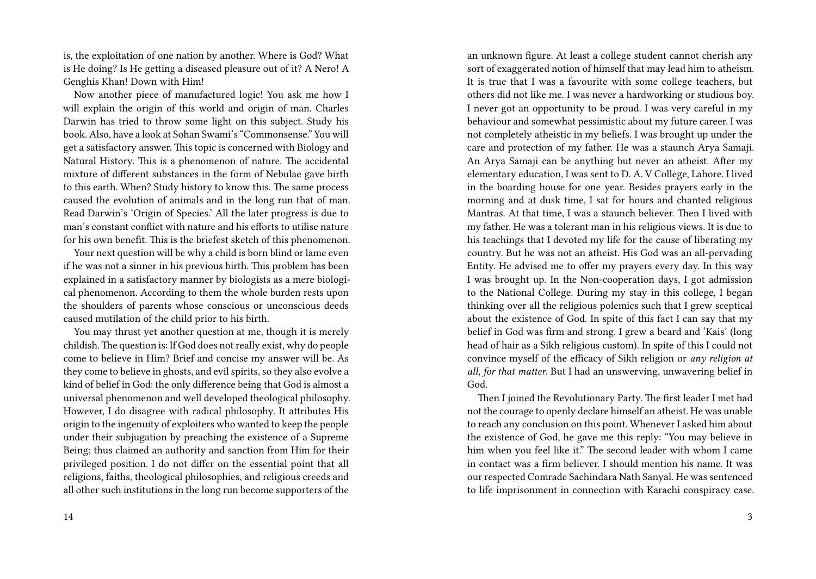is, the exploitation of one nation by another. Where is God? What is He doing? Is He getting a diseased pleasure out of it? A Nero! A Genghis Khan! Down with Him!

Now another piece of manufactured logic! You ask me how I will explain the origin of this world and origin of man. Charles Darwin has tried to throw some light on this subject. Study his book. Also, have a look at Sohan Swami's "Commonsense." You will get a satisfactory answer. This topic is concerned with Biology and Natural History. This is a phenomenon of nature. The accidental mixture of different substances in the form of Nebulae gave birth to this earth. When? Study history to know this. The same process caused the evolution of animals and in the long run that of man. Read Darwin's 'Origin of Species.' All the later progress is due to man's constant conflict with nature and his efforts to utilise nature for his own benefit. This is the briefest sketch of this phenomenon.

Your next question will be why a child is born blind or lame even if he was not a sinner in his previous birth. This problem has been explained in a satisfactory manner by biologists as a mere biological phenomenon. According to them the whole burden rests upon the shoulders of parents whose conscious or unconscious deeds caused mutilation of the child prior to his birth.

You may thrust yet another question at me, though it is merely childish.The question is: If God does not really exist, why do people come to believe in Him? Brief and concise my answer will be. As they come to believe in ghosts, and evil spirits, so they also evolve a kind of belief in God: the only difference being that God is almost a universal phenomenon and well developed theological philosophy. However, I do disagree with radical philosophy. It attributes His origin to the ingenuity of exploiters who wanted to keep the people under their subjugation by preaching the existence of a Supreme Being; thus claimed an authority and sanction from Him for their privileged position. I do not differ on the essential point that all religions, faiths, theological philosophies, and religious creeds and all other such institutions in the long run become supporters of the

an unknown figure. At least a college student cannot cherish any sort of exaggerated notion of himself that may lead him to atheism. It is true that I was a favourite with some college teachers, but others did not like me. I was never a hardworking or studious boy. I never got an opportunity to be proud. I was very careful in my behaviour and somewhat pessimistic about my future career. I was not completely atheistic in my beliefs. I was brought up under the care and protection of my father. He was a staunch Arya Samaji. An Arya Samaji can be anything but never an atheist. After my elementary education, I was sent to D. A. V College, Lahore. I lived in the boarding house for one year. Besides prayers early in the morning and at dusk time, I sat for hours and chanted religious Mantras. At that time, I was a staunch believer. Then I lived with my father. He was a tolerant man in his religious views. It is due to his teachings that I devoted my life for the cause of liberating my country. But he was not an atheist. His God was an all-pervading Entity. He advised me to offer my prayers every day. In this way I was brought up. In the Non-cooperation days, I got admission to the National College. During my stay in this college, I began thinking over all the religious polemics such that I grew sceptical about the existence of God. In spite of this fact I can say that my belief in God was firm and strong. I grew a beard and 'Kais' (long head of hair as a Sikh religious custom). In spite of this I could not convince myself of the efficacy of Sikh religion or *any religion at all, for that matter*. But I had an unswerving, unwavering belief in God.

Then I joined the Revolutionary Party. The first leader I met had not the courage to openly declare himself an atheist. He was unable to reach any conclusion on this point. Whenever I asked him about the existence of God, he gave me this reply: "You may believe in him when you feel like it." The second leader with whom I came in contact was a firm believer. I should mention his name. It was our respected Comrade Sachindara Nath Sanyal. He was sentenced to life imprisonment in connection with Karachi conspiracy case.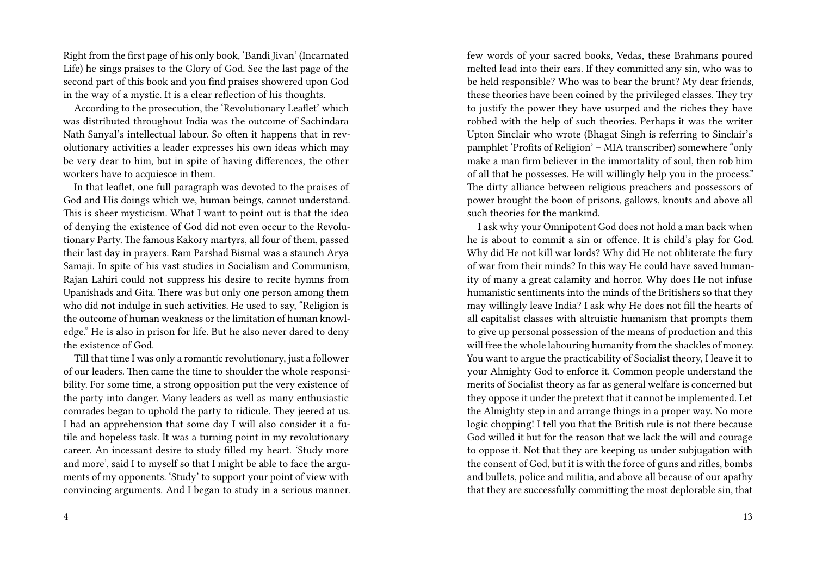Right from the first page of his only book, 'Bandi Jivan' (Incarnated Life) he sings praises to the Glory of God. See the last page of the second part of this book and you find praises showered upon God in the way of a mystic. It is a clear reflection of his thoughts.

According to the prosecution, the 'Revolutionary Leaflet' which was distributed throughout India was the outcome of Sachindara Nath Sanyal's intellectual labour. So often it happens that in revolutionary activities a leader expresses his own ideas which may be very dear to him, but in spite of having differences, the other workers have to acquiesce in them.

In that leaflet, one full paragraph was devoted to the praises of God and His doings which we, human beings, cannot understand. This is sheer mysticism. What I want to point out is that the idea of denying the existence of God did not even occur to the Revolutionary Party. The famous Kakory martyrs, all four of them, passed their last day in prayers. Ram Parshad Bismal was a staunch Arya Samaji. In spite of his vast studies in Socialism and Communism, Rajan Lahiri could not suppress his desire to recite hymns from Upanishads and Gita. There was but only one person among them who did not indulge in such activities. He used to say, "Religion is the outcome of human weakness or the limitation of human knowledge." He is also in prison for life. But he also never dared to deny the existence of God.

Till that time I was only a romantic revolutionary, just a follower of our leaders. Then came the time to shoulder the whole responsibility. For some time, a strong opposition put the very existence of the party into danger. Many leaders as well as many enthusiastic comrades began to uphold the party to ridicule. They jeered at us. I had an apprehension that some day I will also consider it a futile and hopeless task. It was a turning point in my revolutionary career. An incessant desire to study filled my heart. 'Study more and more', said I to myself so that I might be able to face the arguments of my opponents. 'Study' to support your point of view with convincing arguments. And I began to study in a serious manner. few words of your sacred books, Vedas, these Brahmans poured melted lead into their ears. If they committed any sin, who was to be held responsible? Who was to bear the brunt? My dear friends, these theories have been coined by the privileged classes. They try to justify the power they have usurped and the riches they have robbed with the help of such theories. Perhaps it was the writer Upton Sinclair who wrote (Bhagat Singh is referring to Sinclair's pamphlet 'Profits of Religion' – MIA transcriber) somewhere "only make a man firm believer in the immortality of soul, then rob him of all that he possesses. He will willingly help you in the process." The dirty alliance between religious preachers and possessors of power brought the boon of prisons, gallows, knouts and above all such theories for the mankind.

I ask why your Omnipotent God does not hold a man back when he is about to commit a sin or offence. It is child's play for God. Why did He not kill war lords? Why did He not obliterate the fury of war from their minds? In this way He could have saved humanity of many a great calamity and horror. Why does He not infuse humanistic sentiments into the minds of the Britishers so that they may willingly leave India? I ask why He does not fill the hearts of all capitalist classes with altruistic humanism that prompts them to give up personal possession of the means of production and this will free the whole labouring humanity from the shackles of money. You want to argue the practicability of Socialist theory, I leave it to your Almighty God to enforce it. Common people understand the merits of Socialist theory as far as general welfare is concerned but they oppose it under the pretext that it cannot be implemented. Let the Almighty step in and arrange things in a proper way. No more logic chopping! I tell you that the British rule is not there because God willed it but for the reason that we lack the will and courage to oppose it. Not that they are keeping us under subjugation with the consent of God, but it is with the force of guns and rifles, bombs and bullets, police and militia, and above all because of our apathy that they are successfully committing the most deplorable sin, that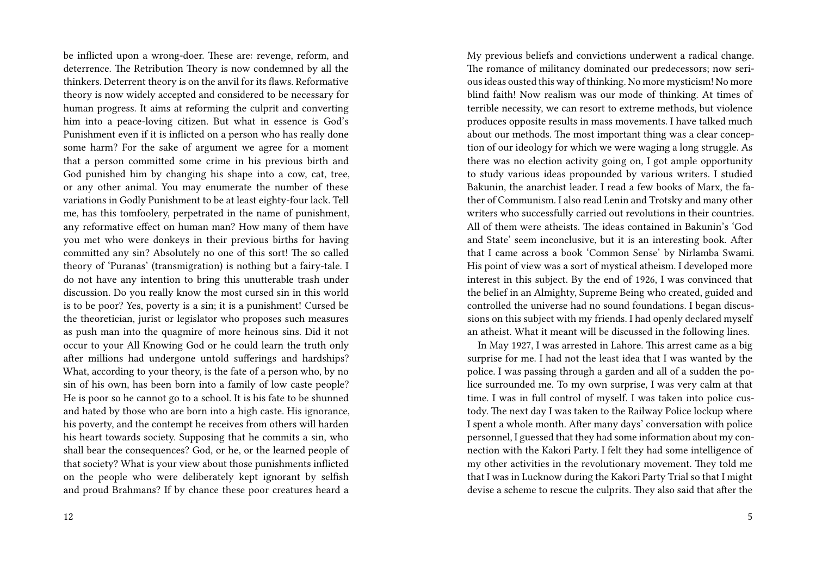be inflicted upon a wrong-doer. These are: revenge, reform, and deterrence. The Retribution Theory is now condemned by all the thinkers. Deterrent theory is on the anvil for its flaws. Reformative theory is now widely accepted and considered to be necessary for human progress. It aims at reforming the culprit and converting him into a peace-loving citizen. But what in essence is God's Punishment even if it is inflicted on a person who has really done some harm? For the sake of argument we agree for a moment that a person committed some crime in his previous birth and God punished him by changing his shape into a cow, cat, tree, or any other animal. You may enumerate the number of these variations in Godly Punishment to be at least eighty-four lack. Tell me, has this tomfoolery, perpetrated in the name of punishment, any reformative effect on human man? How many of them have you met who were donkeys in their previous births for having committed any sin? Absolutely no one of this sort! The so called theory of 'Puranas' (transmigration) is nothing but a fairy-tale. I do not have any intention to bring this unutterable trash under discussion. Do you really know the most cursed sin in this world is to be poor? Yes, poverty is a sin; it is a punishment! Cursed be the theoretician, jurist or legislator who proposes such measures as push man into the quagmire of more heinous sins. Did it not occur to your All Knowing God or he could learn the truth only after millions had undergone untold sufferings and hardships? What, according to your theory, is the fate of a person who, by no sin of his own, has been born into a family of low caste people? He is poor so he cannot go to a school. It is his fate to be shunned and hated by those who are born into a high caste. His ignorance, his poverty, and the contempt he receives from others will harden his heart towards society. Supposing that he commits a sin, who shall bear the consequences? God, or he, or the learned people of that society? What is your view about those punishments inflicted on the people who were deliberately kept ignorant by selfish and proud Brahmans? If by chance these poor creatures heard a

My previous beliefs and convictions underwent a radical change. The romance of militancy dominated our predecessors; now serious ideas ousted this way of thinking. No more mysticism! No more blind faith! Now realism was our mode of thinking. At times of terrible necessity, we can resort to extreme methods, but violence produces opposite results in mass movements. I have talked much about our methods. The most important thing was a clear conception of our ideology for which we were waging a long struggle. As there was no election activity going on, I got ample opportunity to study various ideas propounded by various writers. I studied Bakunin, the anarchist leader. I read a few books of Marx, the father of Communism. I also read Lenin and Trotsky and many other writers who successfully carried out revolutions in their countries. All of them were atheists. The ideas contained in Bakunin's 'God and State' seem inconclusive, but it is an interesting book. After that I came across a book 'Common Sense' by Nirlamba Swami. His point of view was a sort of mystical atheism. I developed more interest in this subject. By the end of 1926, I was convinced that the belief in an Almighty, Supreme Being who created, guided and controlled the universe had no sound foundations. I began discussions on this subject with my friends. I had openly declared myself an atheist. What it meant will be discussed in the following lines.

In May 1927, I was arrested in Lahore. This arrest came as a big surprise for me. I had not the least idea that I was wanted by the police. I was passing through a garden and all of a sudden the police surrounded me. To my own surprise, I was very calm at that time. I was in full control of myself. I was taken into police custody. The next day I was taken to the Railway Police lockup where I spent a whole month. After many days' conversation with police personnel, I guessed that they had some information about my connection with the Kakori Party. I felt they had some intelligence of my other activities in the revolutionary movement. They told me that I was in Lucknow during the Kakori Party Trial so that I might devise a scheme to rescue the culprits. They also said that after the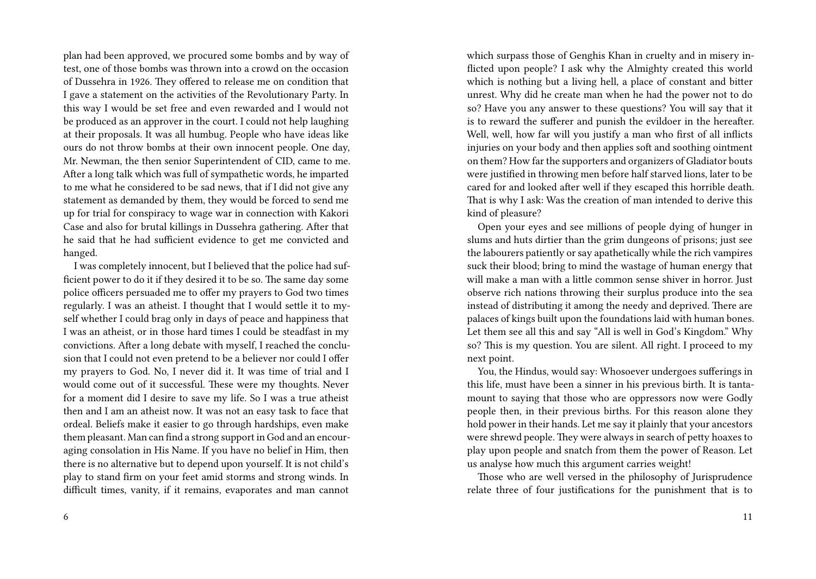plan had been approved, we procured some bombs and by way of test, one of those bombs was thrown into a crowd on the occasion of Dussehra in 1926. They offered to release me on condition that I gave a statement on the activities of the Revolutionary Party. In this way I would be set free and even rewarded and I would not be produced as an approver in the court. I could not help laughing at their proposals. It was all humbug. People who have ideas like ours do not throw bombs at their own innocent people. One day, Mr. Newman, the then senior Superintendent of CID, came to me. After a long talk which was full of sympathetic words, he imparted to me what he considered to be sad news, that if I did not give any statement as demanded by them, they would be forced to send me up for trial for conspiracy to wage war in connection with Kakori Case and also for brutal killings in Dussehra gathering. After that he said that he had sufficient evidence to get me convicted and hanged.

I was completely innocent, but I believed that the police had sufficient power to do it if they desired it to be so. The same day some police officers persuaded me to offer my prayers to God two times regularly. I was an atheist. I thought that I would settle it to myself whether I could brag only in days of peace and happiness that I was an atheist, or in those hard times I could be steadfast in my convictions. After a long debate with myself, I reached the conclusion that I could not even pretend to be a believer nor could I offer my prayers to God. No, I never did it. It was time of trial and I would come out of it successful. These were my thoughts. Never for a moment did I desire to save my life. So I was a true atheist then and I am an atheist now. It was not an easy task to face that ordeal. Beliefs make it easier to go through hardships, even make them pleasant. Man can find a strong support in God and an encouraging consolation in His Name. If you have no belief in Him, then there is no alternative but to depend upon yourself. It is not child's play to stand firm on your feet amid storms and strong winds. In difficult times, vanity, if it remains, evaporates and man cannot

6

which surpass those of Genghis Khan in cruelty and in misery inflicted upon people? I ask why the Almighty created this world which is nothing but a living hell, a place of constant and bitter unrest. Why did he create man when he had the power not to do so? Have you any answer to these questions? You will say that it is to reward the sufferer and punish the evildoer in the hereafter. Well, well, how far will you justify a man who first of all inflicts injuries on your body and then applies soft and soothing ointment on them? How far the supporters and organizers of Gladiator bouts were justified in throwing men before half starved lions, later to be cared for and looked after well if they escaped this horrible death. That is why I ask: Was the creation of man intended to derive this kind of pleasure?

Open your eyes and see millions of people dying of hunger in slums and huts dirtier than the grim dungeons of prisons; just see the labourers patiently or say apathetically while the rich vampires suck their blood; bring to mind the wastage of human energy that will make a man with a little common sense shiver in horror. Just observe rich nations throwing their surplus produce into the sea instead of distributing it among the needy and deprived. There are palaces of kings built upon the foundations laid with human bones. Let them see all this and say "All is well in God's Kingdom." Why so? This is my question. You are silent. All right. I proceed to my next point.

You, the Hindus, would say: Whosoever undergoes sufferings in this life, must have been a sinner in his previous birth. It is tantamount to saying that those who are oppressors now were Godly people then, in their previous births. For this reason alone they hold power in their hands. Let me say it plainly that your ancestors were shrewd people. They were always in search of petty hoaxes to play upon people and snatch from them the power of Reason. Let us analyse how much this argument carries weight!

Those who are well versed in the philosophy of Jurisprudence relate three of four justifications for the punishment that is to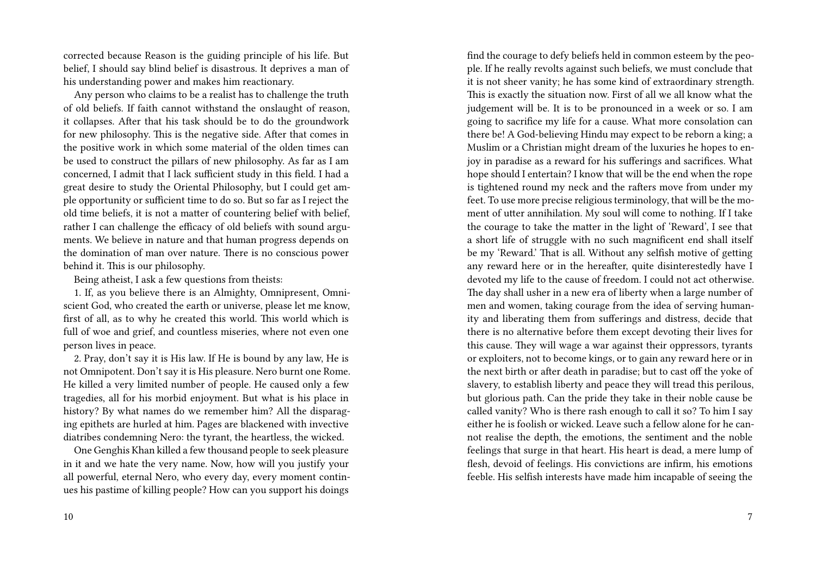corrected because Reason is the guiding principle of his life. But belief, I should say blind belief is disastrous. It deprives a man of his understanding power and makes him reactionary.

Any person who claims to be a realist has to challenge the truth of old beliefs. If faith cannot withstand the onslaught of reason, it collapses. After that his task should be to do the groundwork for new philosophy. This is the negative side. After that comes in the positive work in which some material of the olden times can be used to construct the pillars of new philosophy. As far as I am concerned, I admit that I lack sufficient study in this field. I had a great desire to study the Oriental Philosophy, but I could get ample opportunity or sufficient time to do so. But so far as I reject the old time beliefs, it is not a matter of countering belief with belief, rather I can challenge the efficacy of old beliefs with sound arguments. We believe in nature and that human progress depends on the domination of man over nature. There is no conscious power behind it. This is our philosophy.

Being atheist, I ask a few questions from theists:

1. If, as you believe there is an Almighty, Omnipresent, Omniscient God, who created the earth or universe, please let me know, first of all, as to why he created this world. This world which is full of woe and grief, and countless miseries, where not even one person lives in peace.

2. Pray, don't say it is His law. If He is bound by any law, He is not Omnipotent. Don't say it is His pleasure. Nero burnt one Rome. He killed a very limited number of people. He caused only a few tragedies, all for his morbid enjoyment. But what is his place in history? By what names do we remember him? All the disparaging epithets are hurled at him. Pages are blackened with invective diatribes condemning Nero: the tyrant, the heartless, the wicked.

One Genghis Khan killed a few thousand people to seek pleasure in it and we hate the very name. Now, how will you justify your all powerful, eternal Nero, who every day, every moment continues his pastime of killing people? How can you support his doings find the courage to defy beliefs held in common esteem by the people. If he really revolts against such beliefs, we must conclude that it is not sheer vanity; he has some kind of extraordinary strength. This is exactly the situation now. First of all we all know what the judgement will be. It is to be pronounced in a week or so. I am going to sacrifice my life for a cause. What more consolation can there be! A God-believing Hindu may expect to be reborn a king; a Muslim or a Christian might dream of the luxuries he hopes to enjoy in paradise as a reward for his sufferings and sacrifices. What hope should I entertain? I know that will be the end when the rope is tightened round my neck and the rafters move from under my feet. To use more precise religious terminology, that will be the moment of utter annihilation. My soul will come to nothing. If I take the courage to take the matter in the light of 'Reward', I see that a short life of struggle with no such magnificent end shall itself be my 'Reward.' That is all. Without any selfish motive of getting any reward here or in the hereafter, quite disinterestedly have I devoted my life to the cause of freedom. I could not act otherwise. The day shall usher in a new era of liberty when a large number of men and women, taking courage from the idea of serving humanity and liberating them from sufferings and distress, decide that there is no alternative before them except devoting their lives for this cause. They will wage a war against their oppressors, tyrants or exploiters, not to become kings, or to gain any reward here or in the next birth or after death in paradise; but to cast off the yoke of slavery, to establish liberty and peace they will tread this perilous, but glorious path. Can the pride they take in their noble cause be called vanity? Who is there rash enough to call it so? To him I say either he is foolish or wicked. Leave such a fellow alone for he cannot realise the depth, the emotions, the sentiment and the noble feelings that surge in that heart. His heart is dead, a mere lump of flesh, devoid of feelings. His convictions are infirm, his emotions feeble. His selfish interests have made him incapable of seeing the